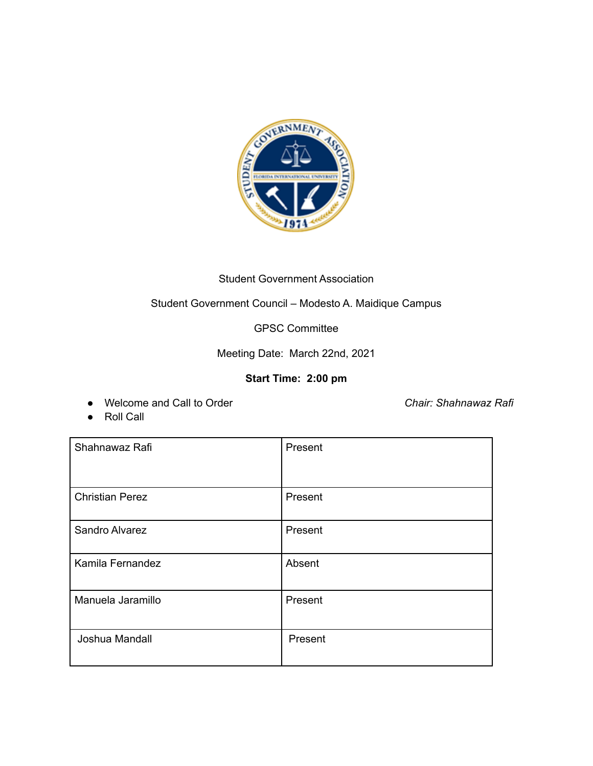

## Student Government Association

## Student Government Council – Modesto A. Maidique Campus

## GPSC Committee

Meeting Date: March 22nd, 2021

## **Start Time: 2:00 pm**

● Welcome and Call to Order *Chair: Shahnawaz Rafi*

● Roll Call

| Shahnawaz Rafi         | Present |
|------------------------|---------|
| <b>Christian Perez</b> | Present |
| Sandro Alvarez         | Present |
| Kamila Fernandez       | Absent  |
| Manuela Jaramillo      | Present |
| Joshua Mandall         | Present |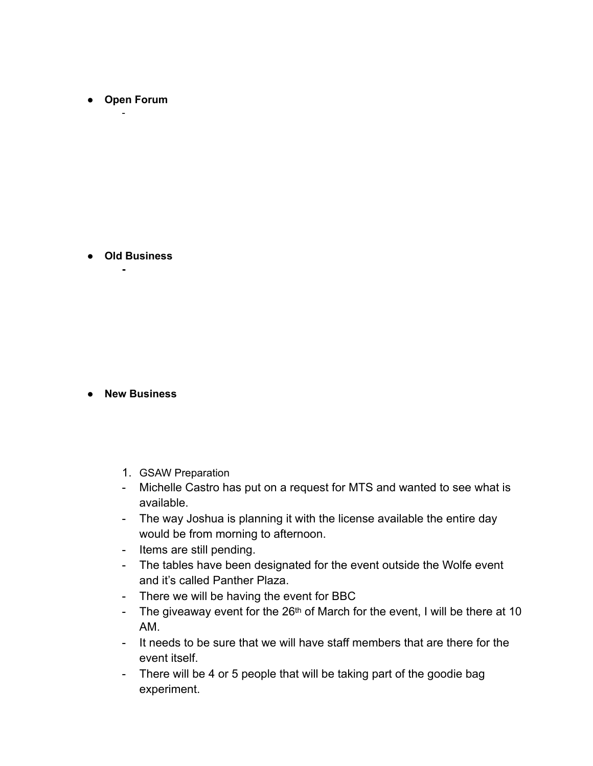**● Open Forum** -

**● Old Business -**

**● New Business**

- 1. GSAW Preparation
- Michelle Castro has put on a request for MTS and wanted to see what is available.
- The way Joshua is planning it with the license available the entire day would be from morning to afternoon.
- Items are still pending.
- The tables have been designated for the event outside the Wolfe event and it's called Panther Plaza.
- There we will be having the event for BBC
- The giveaway event for the  $26<sup>th</sup>$  of March for the event, I will be there at 10 AM.
- It needs to be sure that we will have staff members that are there for the event itself.
- There will be 4 or 5 people that will be taking part of the goodie bag experiment.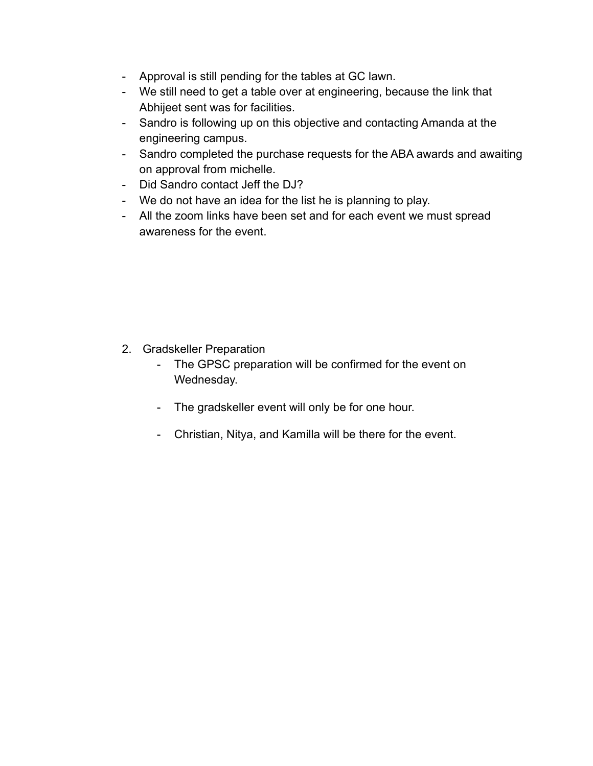- Approval is still pending for the tables at GC lawn.
- We still need to get a table over at engineering, because the link that Abhijeet sent was for facilities.
- Sandro is following up on this objective and contacting Amanda at the engineering campus.
- Sandro completed the purchase requests for the ABA awards and awaiting on approval from michelle.
- Did Sandro contact Jeff the DJ?
- We do not have an idea for the list he is planning to play.
- All the zoom links have been set and for each event we must spread awareness for the event.

- 2. Gradskeller Preparation
	- The GPSC preparation will be confirmed for the event on Wednesday.
	- The gradskeller event will only be for one hour.
	- Christian, Nitya, and Kamilla will be there for the event.